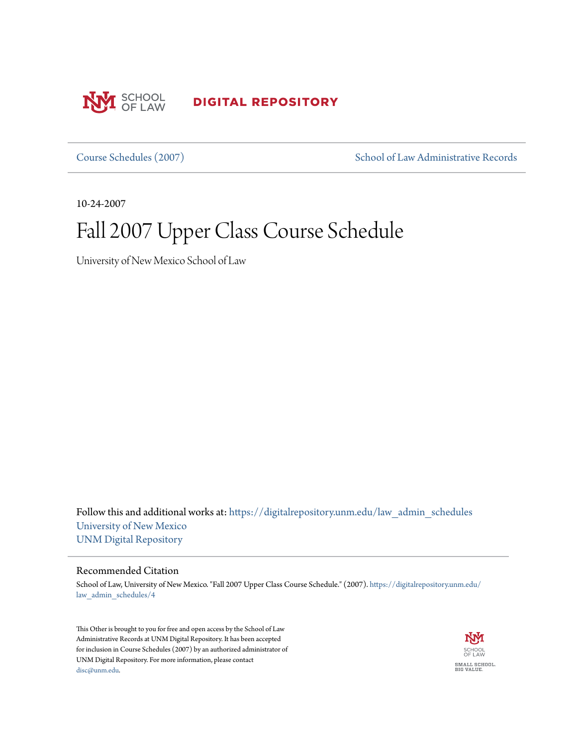

**DIGITAL REPOSITORY** 

[Course Schedules \(2007\)](https://digitalrepository.unm.edu/law_admin_schedules?utm_source=digitalrepository.unm.edu%2Flaw_admin_schedules%2F4&utm_medium=PDF&utm_campaign=PDFCoverPages) [School of Law Administrative Records](https://digitalrepository.unm.edu/law_admin?utm_source=digitalrepository.unm.edu%2Flaw_admin_schedules%2F4&utm_medium=PDF&utm_campaign=PDFCoverPages)

10-24-2007

# Fall 2007 Upper Class Course Schedule

University of New Mexico School of Law

Follow this and additional works at: [https://digitalrepository.unm.edu/law\\_admin\\_schedules](https://digitalrepository.unm.edu/law_admin_schedules?utm_source=digitalrepository.unm.edu%2Flaw_admin_schedules%2F4&utm_medium=PDF&utm_campaign=PDFCoverPages) [University of New Mexico](https://digitalrepository.unm.edu?utm_source=digitalrepository.unm.edu%2Flaw_admin_schedules%2F4&utm_medium=PDF&utm_campaign=PDFCoverPages) [UNM Digital Repository](https://digitalrepository.unm.edu?utm_source=digitalrepository.unm.edu%2Flaw_admin_schedules%2F4&utm_medium=PDF&utm_campaign=PDFCoverPages)

#### Recommended Citation

School of Law, University of New Mexico. "Fall 2007 Upper Class Course Schedule." (2007). [https://digitalrepository.unm.edu/](https://digitalrepository.unm.edu/law_admin_schedules/4?utm_source=digitalrepository.unm.edu%2Flaw_admin_schedules%2F4&utm_medium=PDF&utm_campaign=PDFCoverPages) [law\\_admin\\_schedules/4](https://digitalrepository.unm.edu/law_admin_schedules/4?utm_source=digitalrepository.unm.edu%2Flaw_admin_schedules%2F4&utm_medium=PDF&utm_campaign=PDFCoverPages)

This Other is brought to you for free and open access by the School of Law Administrative Records at UNM Digital Repository. It has been accepted for inclusion in Course Schedules (2007) by an authorized administrator of UNM Digital Repository. For more information, please contact [disc@unm.edu](mailto:disc@unm.edu).

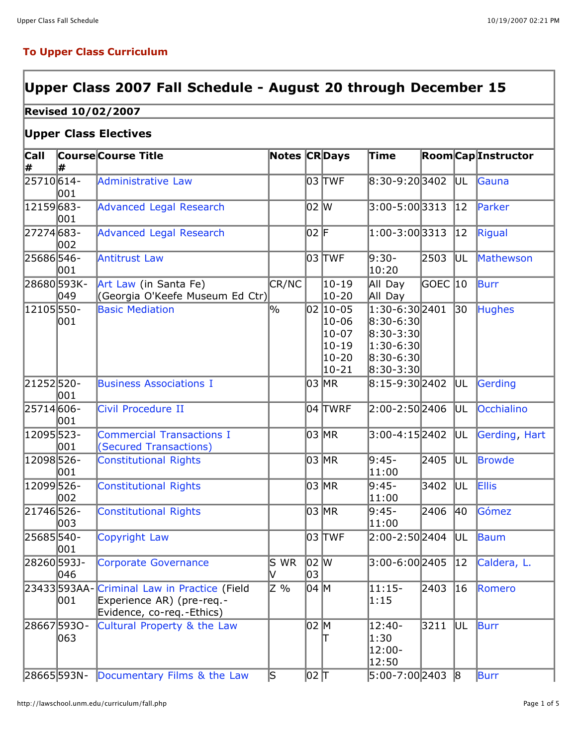#### **To Upper Class Curriculum**

### **Upper Class 2007 Fall Schedule - August 20 through December 15**

#### **Revised 10/02/2007**

#### **Upper Class Electives**

| <b>Call</b> |                    | <b>Course Course Title</b>                                                                | <b>Notes CRDays</b>      |            |                                                                 | Time                                                                                                                          |         |                 | <b>Room Cap Instructor</b> |
|-------------|--------------------|-------------------------------------------------------------------------------------------|--------------------------|------------|-----------------------------------------------------------------|-------------------------------------------------------------------------------------------------------------------------------|---------|-----------------|----------------------------|
| ∦           | ₩                  |                                                                                           |                          |            |                                                                 |                                                                                                                               |         |                 |                            |
| 25710614-   | 001                | Administrative Law                                                                        |                          |            | 03 TWF                                                          | 8:30-9:203402                                                                                                                 |         | UL.             | Gauna                      |
| 12159683-   | 001                | <b>Advanced Legal Research</b>                                                            |                          | 02 W       |                                                                 | $3:00 - 5:00$ 3313                                                                                                            |         | $ 12\rangle$    | Parker                     |
| 27274683-   | 002                | <b>Advanced Legal Research</b>                                                            |                          | 02 F       |                                                                 | 1:00-3:00 3313                                                                                                                |         | 12              | Rigual                     |
| 25686546-   | 001                | <b>Antitrust Law</b>                                                                      |                          |            | 03 TWF                                                          | 9:30-<br>10:20                                                                                                                | 2503    | UL.             | Mathewson                  |
|             | 28680593K-<br>049  | Art Law (in Santa Fe)<br>(Georgia O'Keefe Museum Ed Ctr)                                  | CR/NC                    |            | $ 10 - 19 $<br>10-20                                            | All Day<br>All Day                                                                                                            | GOEC 10 |                 | Burr                       |
| 12105 550-  | 001                | <b>Basic Mediation</b>                                                                    | $\overline{\frac{0}{0}}$ |            | 02 10-05<br>10-06<br>$10-07$<br>$10 - 19$<br>10-20<br>$ 10-21 $ | $1:30 - 6:30$ 2401<br>$ 8:30 - 6:30 $<br>$\vert 8:30 - 3:30 \vert$<br>$ 1:30$ -6:30 $ $<br>$ 8:30 - 6:30 $<br>$ 8:30 - 3:30 $ |         | $\overline{30}$ | <b>Hughes</b>              |
| 21252520-   | 001                | <b>Business Associations I</b>                                                            |                          |            | 03 MR                                                           | 8:15-9:30 2402                                                                                                                |         | ÍUL.            | Gerding                    |
| 25714606-   | 001                | Civil Procedure II                                                                        |                          |            | 04 TWRF                                                         | 2:00-2:50 2406                                                                                                                |         | UL.             | Occhialino                 |
| 12095523-   | 001                | <b>Commercial Transactions I</b><br>(Secured Transactions)                                |                          |            | 03 MR                                                           | 3:00-4:152402                                                                                                                 |         | UL.             | Gerding, Hart              |
| 12098526-   | 001                | <b>Constitutional Rights</b>                                                              |                          |            | 03 MR                                                           | 9:45-<br>11:00                                                                                                                | 2405    | UL              | Browde                     |
| 12099526-   | 002                | <b>Constitutional Rights</b>                                                              |                          |            | 03 MR                                                           | 9:45-<br>11:00                                                                                                                | 3402    | UL.             | <b>Ellis</b>               |
| 21746 526-  | 003                | <b>Constitutional Rights</b>                                                              |                          |            | 03 MR                                                           | 9:45-<br> 11:00                                                                                                               | 2406    | 40              | Gómez                      |
| 25685540-   | 001                | Copyright Law                                                                             |                          |            | 03 TWF                                                          | 2:00-2:502404                                                                                                                 |         | UL.             | Baum                       |
| 28260593J-  | 046                | Corporate Governance                                                                      | S WR<br>IV.              | 02 W<br>03 |                                                                 | 3:00-6:00 2405                                                                                                                |         | $ 12\rangle$    | Caldera, L.                |
|             | 23433593AA-<br>001 | Criminal Law in Practice (Field<br>Experience AR) (pre-req.-<br>Evidence, co-req.-Ethics) | Z %                      | 04 M       |                                                                 | $11:15-$<br>1:15                                                                                                              | 2403    | 16              | Romero                     |
|             | 286675930-<br>063  | Cultural Property & the Law                                                               |                          | 02 M       |                                                                 | 12:40-<br>1:30<br>12:00-<br>12:50                                                                                             | 3211    | IUL.            | Burr                       |
|             |                    | 28665 593N- Documentary Films & the Law                                                   | ls.                      | 이2 T       |                                                                 | 5:00-7:002403 8                                                                                                               |         |                 | Burr                       |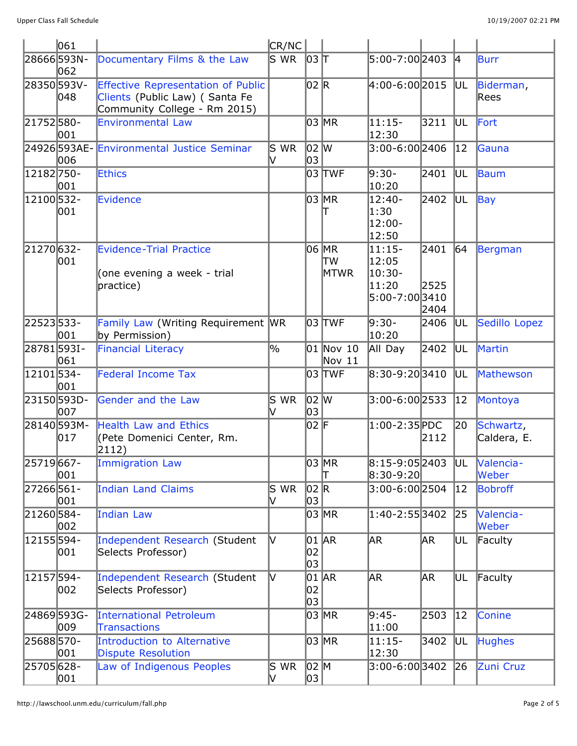|            | 061                |                                                                                                             | $ {\sf CR/NC} $                  |            |                       |                                                        |                      |              |                          |
|------------|--------------------|-------------------------------------------------------------------------------------------------------------|----------------------------------|------------|-----------------------|--------------------------------------------------------|----------------------|--------------|--------------------------|
|            | 28666593N-<br>062  | Documentary Films & the Law                                                                                 | $\overline{\mathsf{s}}$ WR       | $ 03 $ T   |                       | 5:00-7:002403                                          |                      | $ 4\rangle$  | Burr                     |
| 28350593V- | 048                | <b>Effective Representation of Public</b><br>Clients (Public Law) (Santa Fe<br>Community College - Rm 2015) |                                  | 02 R       |                       | 4:00-6:00 2015                                         |                      | UL           | Biderman,<br>Rees        |
| 21752580-  | 001                | <b>Environmental Law</b>                                                                                    |                                  |            | 03 MR                 | $11:15-$<br>12:30                                      | 3211                 | IUL.         | Fort                     |
|            | 24926593AE-<br>006 | <b>Environmental Justice Seminar</b>                                                                        | $S$ WR                           | 02 W<br>03 |                       | 3:00-6:00 2406                                         |                      | $ 12\rangle$ | Gauna                    |
| 12182750-  | 001                | <b>Ethics</b>                                                                                               |                                  |            | 03 TWF                | 9:30-<br>10:20                                         | 2401                 | UL           | Baum                     |
| 12100 532- | 001                | Evidence                                                                                                    |                                  |            | 03 MR                 | $12:40-$<br>1:30<br>$12:00 -$<br>12:50                 | 2402                 | UL           | Bay                      |
| 21270632-  | 001                | <b>Evidence-Trial Practice</b><br>(one evening a week - trial<br>practice)                                  |                                  |            | 06 MR<br>TW<br>MTWR   | $11:15-$<br>12:05<br>10:30-<br>11:20<br>5:00-7:00 3410 | 2401<br>2525<br>2404 | 64           | Bergman                  |
| 22523533-  | 001                | Family Law (Writing Requirement<br>by Permission)                                                           | <b>WR</b>                        |            | 03  TWF               | 9:30-<br>10:20                                         | 2406                 | UL           | Sedillo Lopez            |
| 28781593I- | 061                | <b>Financial Literacy</b>                                                                                   | $\frac{9}{6}$                    |            | 01 Nov 10<br>Nov $11$ | All Day                                                | 2402                 | UL.          | Martin                   |
| 12101534-  | 001                | <b>Federal Income Tax</b>                                                                                   |                                  |            | 03  TWF               | 8:30-9:203410                                          |                      | UL           | Mathewson                |
|            | 23150593D-<br>007  | Gender and the Law                                                                                          | $\mathsf{\overline{S}}$ WR<br>lV | 02 W<br>03 |                       | 3:00-6:00 2533                                         |                      | 12           | Montoya                  |
|            | 28140593M-<br>017  | <b>Health Law and Ethics</b><br>(Pete Domenici Center, Rm.<br>2112)                                         |                                  | 02 F       |                       | 1:00-2:35 PDC                                          | 2112                 | 20           | Schwartz,<br>Caldera, E. |
| 25719 667- | 001                | <b>Immigration Law</b>                                                                                      |                                  |            | 03 MR<br>Т            | 8:15-9:05 2403<br>8:30-9:20                            |                      | UL           | Valencia-<br>Weber       |
| 27266561-  | 001                | Indian Land Claims                                                                                          | S WR<br>V                        | 02 R<br>03 |                       | 3:00-6:002504                                          |                      | $ 12\rangle$ | Bobroff                  |
| 21260584-  | 002                | Indian Law                                                                                                  |                                  |            | 03 MR                 | 1:40-2:553402                                          |                      | 25           | Valencia-<br>Weber       |
| 12155594-  | 001                | Independent Research (Student<br>Selects Professor)                                                         | lv.                              | 02<br>03   | 01  AR                | AR.                                                    | AR.                  | UL           | Faculty                  |
| 12157594-  | 002                | Independent Research (Student<br>Selects Professor)                                                         | IV.                              | 02<br>03   | 01  AR                | AR.                                                    | ∣AR                  | UL           | Faculty                  |
|            | 24869593G-<br>009  | <b>International Petroleum</b><br><b>Transactions</b>                                                       |                                  |            | 03 MR                 | 9:45-<br>11:00                                         | 2503                 | 12           | Conine                   |
| 25688570-  | 001                | Introduction to Alternative<br><b>Dispute Resolution</b>                                                    |                                  |            | 03 MR                 | $11:15-$<br>12:30                                      | 3402                 | UL           | <b>Hughes</b>            |
| 25705628-  | 001                | Law of Indigenous Peoples                                                                                   | $S$ WR<br>M                      | 02 M<br>03 |                       | 3:00-6:003402                                          |                      | $ 26\rangle$ | Zuni Cruz                |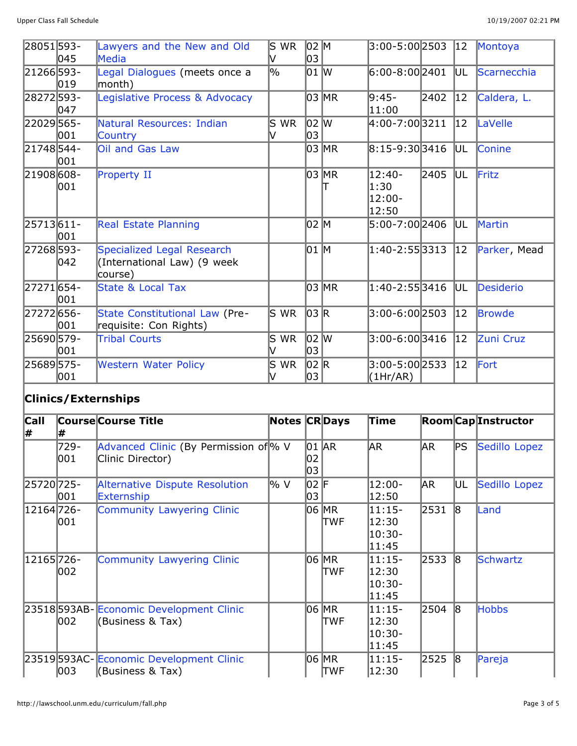| 28051593-  | 045 | Lawyers and the New and Old<br>Media                                 | ls wr     | 02 M<br>03 |         | $3:00 - 5:00$ 2503                     |      | 12           | Montoya       |
|------------|-----|----------------------------------------------------------------------|-----------|------------|---------|----------------------------------------|------|--------------|---------------|
| 21266593-  | 019 | Legal Dialogues (meets once a<br>month)                              | 0%        | 01 W       |         | $6:00-8:00$ 2401                       |      | UL           | Scarnecchia   |
| 28272593-  | 047 | Legislative Process & Advocacy                                       |           |            | 03 MR   | 9:45-<br>11:00                         | 2402 | $ 12\rangle$ | Caldera, L.   |
| 22029565-  | 001 | Natural Resources: Indian<br>Country                                 | S WR      | 02 W<br>03 |         | 4:00-7:003211                          |      | $ 12\rangle$ | LaVelle       |
| 21748544-  | 001 | Oil and Gas Law                                                      |           |            | 03   MR | $ 8:15-9:30 3416$                      |      | UL           | <b>Conine</b> |
| 21908 608- | 001 | Property II                                                          |           |            | 03 MR   | $12:40-$<br>1:30<br>$12:00 -$<br>12:50 | 2405 | UL           | Fritz         |
| 25713611-  | 001 | <b>Real Estate Planning</b>                                          |           | 02 M       |         | 5:00-7:00 2406                         |      | UL           | Martin        |
| 27268593-  | 042 | Specialized Legal Research<br>(International Law) (9 week<br>course) |           | 01 M       |         | $1:40 - 2:55$ 3313                     |      | $ 12\rangle$ | Parker, Mead  |
| 27271654-  | 001 | State & Local Tax                                                    |           |            | 03 MR   | 1:40-2:553416                          |      | UL           | Desiderio     |
| 27272 656- | 001 | State Constitutional Law (Pre-<br>requisite: Con Rights)             | ls wr     | 03 R       |         | 3:00-6:002503                          |      | $ 12\rangle$ | Browde        |
| 25690 579- | 001 | <b>Tribal Courts</b>                                                 | S WR<br>V | 02 W<br>03 |         | 3:00-6:003416                          |      | $ 12\rangle$ | Zuni Cruz     |
| 25689575-  | 001 | <b>Western Water Policy</b>                                          | S WR<br>V | 02 R<br>03 |         | 3:00-5:00 2533<br>(1Hr/AR)             |      | $ 12\rangle$ | Fort          |

## **Clinics/Externships**

| <b>Call</b><br> # |               | <b>Course Course Title</b>                                   | Notes CRDays |                   |                       | Time                                  |            |              | <b>Room</b> CapInstructor |
|-------------------|---------------|--------------------------------------------------------------|--------------|-------------------|-----------------------|---------------------------------------|------------|--------------|---------------------------|
|                   | 729-<br>001   | Advanced Clinic (By Permission of % V<br>Clinic Director)    |              | 01 AR<br>02<br>03 |                       | AR <sub>.</sub>                       | AR.        | PS           | Sedillo Lopez             |
| 25720 725-        | 001           | Alternative Dispute Resolution<br>Externship                 | l% V         | 02 F<br>03        |                       | 12:00-<br>12:50                       | <b>JAR</b> | UL.          | Sedillo Lopez             |
| 12164 726-        | 001           | Community Lawyering Clinic                                   |              |                   | 06 MR<br><b>TWF</b>   | 11:15-<br>12:30<br>10:30-<br> 11:45   | 2531       | 18           | Land                      |
| 12165 726 -       | 002           | Community Lawyering Clinic                                   |              |                   | 06 MR<br><b>TWF</b>   | 11:15-<br>12:30<br>10:30-<br>11:45    | 2533       | 18           | Schwartz                  |
|                   | 002           | 23518 593AB- Economic Development Clinic<br>(Business & Tax) |              |                   | 06 MR<br><b>TWF</b>   | $ 11:15-$<br>12:30<br>10:30-<br>11:45 | 2504       | $\mathsf{B}$ | <b>Hobbs</b>              |
|                   | $ 003\rangle$ | 23519 593AC Economic Development Clinic<br>(Business & Tax)  |              |                   | 06   MR<br><b>TWF</b> | $ 11:15-$<br>12:30                    | 2525       | 18           | Pareja                    |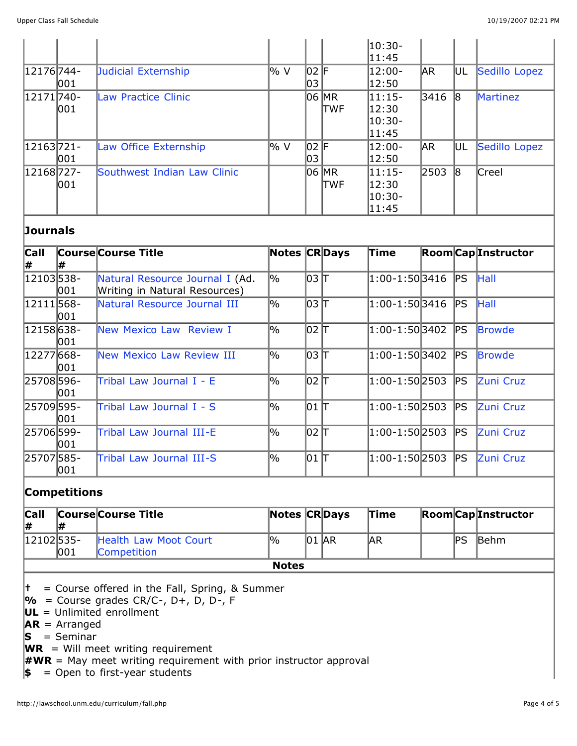|               |     |                             |      |      |       | $ 10:30-$ |            |     |                 |
|---------------|-----|-----------------------------|------|------|-------|-----------|------------|-----|-----------------|
|               |     |                             |      |      |       | 11:45     |            |     |                 |
| 12176 744 -   |     | Judicial Externship         | 1% V | 02 F |       | 12:00-    | <b>JAR</b> | UL  | Sedillo Lopez   |
|               | 001 |                             |      | 103  |       | 12:50     |            |     |                 |
| 12171740-     |     | Law Practice Clinic         |      |      | 06 MR | $11:15-$  | 3416       | 18  | <b>Martinez</b> |
|               | 001 |                             |      |      | ltwf  | 12:30     |            |     |                 |
|               |     |                             |      |      |       | 10:30-    |            |     |                 |
|               |     |                             |      |      |       | 11:45     |            |     |                 |
| $ 12163 721-$ |     | Law Office Externship       | l% V | 02 F |       | 12:00-    | AR.        | lul | Sedillo Lopez   |
|               | 001 |                             |      | 103  |       | 12:50     |            |     |                 |
| 12168727-     |     | Southwest Indian Law Clinic |      |      | 06 MR | $ 11:15-$ | 2503       | 18  | Creel           |
|               | 001 |                             |      |      | ltwf  | 12:30     |            |     |                 |
|               |     |                             |      |      |       | 10:30-    |            |     |                 |
|               |     |                             |      |      |       | 11:45     |            |     |                 |

#### **Journals**

| <b>Call</b> |     | <b>Course Course Title</b>      | Notes CRDays |                         | Time                         |      | <b>Room</b> CapInstructor |
|-------------|-----|---------------------------------|--------------|-------------------------|------------------------------|------|---------------------------|
| #           | l#  |                                 |              |                         |                              |      |                           |
| 12103538-   |     | Natural Resource Journal I (Ad. | ∣%           | $ 03 $ T                | 1:00-1:503416                | PS   | Hall                      |
|             | 001 | Writing in Natural Resources)   |              |                         |                              |      |                           |
| 12111568-   |     | Natural Resource Journal III    | ∣%           | $ 03 $ T                | $ 1:00$ - $1:50$ 3416        | PS   | <b>Hall</b>               |
|             | 001 |                                 |              |                         |                              |      |                           |
| 12158638-   |     | New Mexico Law Review I         | $\%$         | $102 \text{ } \text{T}$ | $ 1:00$ - $1:50 3402$        | PS   | Browde                    |
|             | 001 |                                 |              |                         |                              |      |                           |
| 12277 668 - |     | New Mexico Law Review III       | 0%           | $ 03 $ T                | 1:00-1:503402                | PS   | <b>Browde</b>             |
|             | 001 |                                 |              |                         |                              |      |                           |
| 25708596-   |     | Tribal Law Journal I - E        | 0%           | $ 02 $ T                | $ 1:00$ -1:50 $ 2503\rangle$ | PS   | Zuni Cruz                 |
|             | 001 |                                 |              |                         |                              |      |                           |
| 25709595-   |     | Tribal Law Journal I - S        | $\%$         | 01                      | 1:00-1:50 2503               | PS   | <b>Zuni Cruz</b>          |
|             | 001 |                                 |              |                         |                              |      |                           |
| 25706599-   |     | Tribal Law Journal III-E        | l%           | $ 02 $ T                | $ 1:00 - 1:50 2503 $         | lPS. | <b>Zuni Cruz</b>          |
|             | 001 |                                 |              |                         |                              |      |                           |
| 25707585-   |     | Tribal Law Journal III-S        | 0%           | $101$ $\text{LT}$       | $ 1:00 - 1:50 2503 $         | PS   | Zuni Cruz                 |
|             | 001 |                                 |              |                         |                              |      |                           |

#### **Competitions**

| <sub>cal</sub>  <br>l# |     | <b>Course Course Title</b>                  | <b>Notes CRDays</b> |       |  | Time       |  |     | <b>Room</b> CapInstructor |  |
|------------------------|-----|---------------------------------------------|---------------------|-------|--|------------|--|-----|---------------------------|--|
| 12102535-              | 001 | Health Law Moot Court<br><b>Competition</b> | <b>O</b>            | 01 AR |  | <b>JAR</b> |  | ΙPS | <b>IBehm</b>              |  |
| <b>Notes</b>           |     |                                             |                     |       |  |            |  |     |                           |  |

**†** = Course offered in the Fall, Spring, & Summer

**%** = Course grades CR/C-, D+, D, D-, F

**UL** = Unlimited enrollment

 $AR = Arranged$ 

 $\textbf{S}$  = Seminar

**WR** = Will meet writing requirement

 $\#WR =$  May meet writing requirement with prior instructor approval

**\$** = Open to first-year students